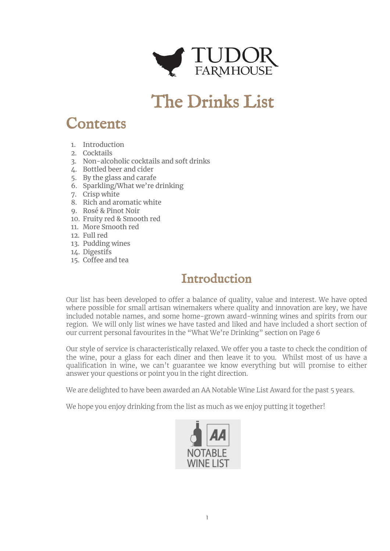

# The Drinks List

# Contents

- 1. Introduction
- 2. Cocktails
- 3. Non-alcoholic cocktails and soft drinks
- 4. Bottled beer and cider
- 5. By the glass and carafe
- 6. Sparkling/What we're drinking
- 7. Crisp white
- 8. Rich and aromatic white
- 9. Rosé & Pinot Noir
- 10. Fruity red & Smooth red
- 11. More Smooth red
- 12. Full red
- 13. Pudding wines
- 14. Digestifs
- 15. Coffee and tea

### Introduction

Our list has been developed to offer a balance of quality, value and interest. We have opted where possible for small artisan winemakers where quality and innovation are key, we have included notable names, and some home-grown award-winning wines and spirits from our region. We will only list wines we have tasted and liked and have included a short section of our current personal favourites in the "What We're Drinking" section on Page 6

Our style of service is characteristically relaxed. We offer you a taste to check the condition of the wine, pour a glass for each diner and then leave it to you. Whilst most of us have a qualification in wine, we can't guarantee we know everything but will promise to either answer your questions or point you in the right direction.

We are delighted to have been awarded an AA Notable Wine List Award for the past 5 years.

We hope you enjoy drinking from the list as much as we enjoy putting it together!

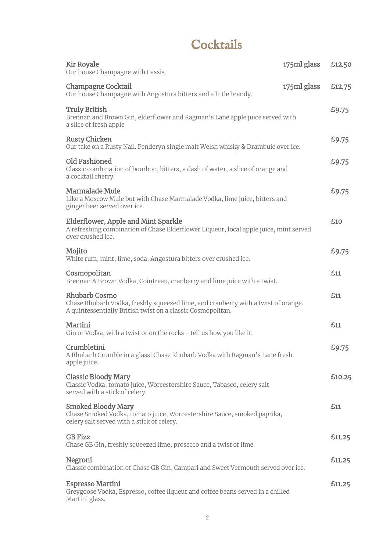# **Cocktails**

| <b>Kir Royale</b><br>Our house Champagne with Cassis.                                                                                                                    | 175ml glass | £12.50 |
|--------------------------------------------------------------------------------------------------------------------------------------------------------------------------|-------------|--------|
| Champagne Cocktail<br>Our house Champagne with Angostura bitters and a little brandy.                                                                                    | 175ml glass | £12.75 |
| <b>Truly British</b><br>Brennan and Brown Gin, elderflower and Ragman's Lane apple juice served with<br>a slice of fresh apple                                           |             | £9.75  |
| <b>Rusty Chicken</b><br>Our take on a Rusty Nail. Penderyn single malt Welsh whisky & Drambuie over ice.                                                                 |             | £9.75  |
| Old Fashioned<br>Classic combination of bourbon, bitters, a dash of water, a slice of orange and<br>a cocktail cherry.                                                   |             | £9.75  |
| <b>Marmalade Mule</b><br>Like a Moscow Mule but with Chase Marmalade Vodka, lime juice, bitters and<br>ginger beer served over ice.                                      |             | £9.75  |
| Elderflower, Apple and Mint Sparkle<br>A refreshing combination of Chase Elderflower Liqueur, local apple juice, mint served<br>over crushed ice.                        |             | £10    |
| Mojito<br>White rum, mint, lime, soda, Angostura bitters over crushed ice.                                                                                               |             | £9.75  |
| Cosmopolitan<br>Brennan & Brown Vodka, Cointreau, cranberry and lime juice with a twist.                                                                                 |             | £11    |
| <b>Rhubarb Cosmo</b><br>Chase Rhubarb Vodka, freshly squeezed lime, and cranberry with a twist of orange.<br>A quintessentially British twist on a classic Cosmopolitan. |             | £11    |
| Martini<br>Gin or Vodka, with a twist or on the rocks - tell us how you like it.                                                                                         |             | £11    |
| Crumbletini<br>A Rhubarb Crumble in a glass! Chase Rhubarb Vodka with Ragman's Lane fresh<br>apple juice.                                                                |             | £9.75  |
| <b>Classic Bloody Mary</b><br>Classic Vodka, tomato juice, Worcestershire Sauce, Tabasco, celery salt<br>served with a stick of celery.                                  |             | £10.25 |
| <b>Smoked Bloody Mary</b><br>Chase Smoked Vodka, tomato juice, Worcestershire Sauce, smoked paprika,<br>celery salt served with a stick of celery.                       |             | £11    |
| <b>GB Fizz</b><br>Chase GB Gin, freshly squeezed lime, prosecco and a twist of lime.                                                                                     |             | £11.25 |
| Negroni<br>Classic combination of Chase GB Gin, Campari and Sweet Vermouth served over ice.                                                                              |             | £11.25 |
| <b>Espresso Martini</b><br>Greygoose Vodka, Espresso, coffee liqueur and coffee beans served in a chilled<br>Martini glass.                                              |             | £11.25 |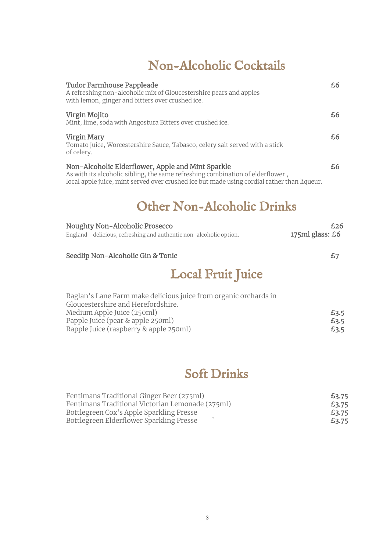## Non-Alcoholic Cocktails

| Tudor Farmhouse Pappleade<br>A refreshing non-alcoholic mix of Gloucestershire pears and apples<br>with lemon, ginger and bitters over crushed ice.                                                                                | £6. |
|------------------------------------------------------------------------------------------------------------------------------------------------------------------------------------------------------------------------------------|-----|
| Virgin Mojito<br>Mint, lime, soda with Angostura Bitters over crushed ice.                                                                                                                                                         | £6  |
| Virgin Mary<br>Tomato juice, Worcestershire Sauce, Tabasco, celery salt served with a stick<br>of celery.                                                                                                                          | £6. |
| Non-Alcoholic Elderflower, Apple and Mint Sparkle<br>As with its alcoholic sibling, the same refreshing combination of elderflower,<br>local apple juice, mint served over crushed ice but made using cordial rather than liqueur. | £6  |

### Other Non-Alcoholic Drinks

| £26             |
|-----------------|
| 175ml glass: £6 |
|                 |

#### Seedlip Non-Alcoholic Gin & Tonic  $\epsilon$ 7

## Local Fruit Juice

| Raglan's Lane Farm make delicious juice from organic orchards in |      |
|------------------------------------------------------------------|------|
| Gloucestershire and Herefordshire.                               |      |
| Medium Apple Juice (250ml)                                       | £3.5 |
| Papple Juice (pear & apple 250ml)                                | £3.5 |
| Rapple Juice (raspberry & apple 250ml)                           | £3.5 |

### Soft Drinks

| Fentimans Traditional Ginger Beer (275ml)        | £3.75 |
|--------------------------------------------------|-------|
| Fentimans Traditional Victorian Lemonade (275ml) | £3.75 |
| Bottlegreen Cox's Apple Sparkling Presse         | £3.75 |
| Bottlegreen Elderflower Sparkling Presse         | £3.75 |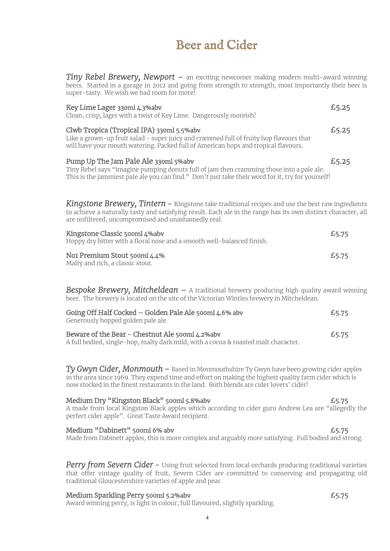### Beer and Cider

*Tiny Rebel Brewery, Newport* – an exciting newcomer making modern multi-award winning beers. Started in a garage in 2012 and going from strength to strength, most importantly their beer is super-tasty. We wish we had room for more!

| Key Lime Lager 330ml 4.3%abv<br>Clean, crisp, lager with a twist of Key Lime. Dangerously moreish!                                                                                                                                                                              | £5.25 |
|---------------------------------------------------------------------------------------------------------------------------------------------------------------------------------------------------------------------------------------------------------------------------------|-------|
| Clwb Tropica (Tropical IPA) 330ml 5.5%abv<br>Like a grown-up fruit salad - super juicy and crammed full of fruity hop flavours that<br>will have your mouth watering. Packed full of American hops and tropical flavours.                                                       | £5.25 |
| Pump Up The Jam Pale Ale 330ml 5%abv<br>Tiny Rebel says "imagine pumping donuts full of jam then cramming those into a pale ale.<br>This is the jammiest pale ale you can find." Don't just take their word for it, try for yourself!                                           | £5.25 |
| <b>Kingstone Brewery, Tintern –</b> Kingstone take traditional recipes and use the best raw ingredients<br>to achieve a naturally tasty and satisfying result. Each ale in the range has its own distinct character, all<br>are unfiltered, uncompromised and unashamedly real. |       |
| Kingstone Classic 500ml 4%abv<br>Hoppy dry bitter with a floral nose and a smooth well-balanced finish.                                                                                                                                                                         | £5.75 |
| No1 Premium Stout 500ml 4.4%<br>Malty and rich, a classic stout.                                                                                                                                                                                                                | £5.75 |

**Bespoke Brewery, Mitcheldean** - A traditional brewery producing high quality award winning beer. The brewery is located on the site of the Victorian Wintles brewery in Mitcheldean.

| Going Off Half Cocked - Golden Pale Ale 500ml 4.6% abv<br>£5.75<br>Generously hopped golden pale ale. |       |
|-------------------------------------------------------------------------------------------------------|-------|
| Beware of the Bear - Chestnut Ale 500ml 4.2%aby                                                       | £5.75 |

A full bodied, single-hop, malty dark mild, with a cocoa & roasted malt character.

*Ty Gwyn Cider, Monmouth* - Based in Monmouthshire Ty Gwyn have been growing cider apples in the area since 1969. They expend time and effort on making the highest quality farm cider which is now stocked in the finest restaurants in the land. Both blends are cider lovers' cider!

#### Medium Dry "Kingston Black" 500ml 5.8%abv **EXALLES** 65.75

A made from local Kingston Black apples which according to cider guru Andrew Lea are "allegedly the perfect cider apple". Great Taste Award recipient.

#### Medium "Dabinett" 500ml 6% abv **EXALLES** 65.75

Made from Dabinett apples, this is more complex and arguably more satisfying. Full bodied and strong.

**Perry from Severn Cider** - Using fruit selected from local orchards producing traditional varieties that offer vintage quality of fruit, Severn Cider are committed to conserving and propagating old traditional Gloucestershire varieties of apple and pear.

#### Medium Sparkling Perry 500ml 5.2%abv **EXALL EXALL 2008** 25.75

Award winning perry, is light in colour, full flavoured, slightly sparkling.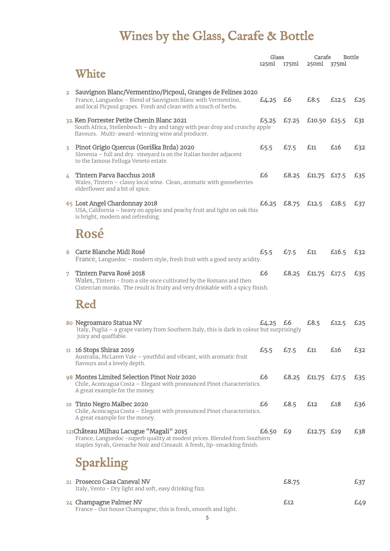# Wines by the Glass, Carafe & Bottle

|                |                                                                                                                                                                                                    | Glass       |       | Carafe             | <b>Bottle</b> |     |
|----------------|----------------------------------------------------------------------------------------------------------------------------------------------------------------------------------------------------|-------------|-------|--------------------|---------------|-----|
|                | White                                                                                                                                                                                              | 125ml       | 175ml | 250ml              | 375ml         |     |
| $\overline{a}$ | Sauvignon Blanc/Vermentino/Picpoul, Granges de Felines 2020<br>France, Languedoc - Blend of Sauvignon Blanc with Vermentino,<br>and local Picpoul grapes. Fresh and clean with a touch of herbs.   | £4.25       | £6    | £8.5               | £12.5         | £25 |
|                | 32. Ken Forrester Petite Chenin Blanc 2021<br>South Africa, Stellenbosch - dry and tangy with pear drop and crunchy apple<br>flavours. Multi-award-winning wine and producer.                      | £5.25       | £7.25 | £10.50 £15.5       |               | £31 |
| 3.             | Pinot Grigio Quercus (Goriška Brda) 2020<br>Slovenia - full and dry. vineyard is on the Italian border adjacent<br>to the famous Felluga Veneto estate.                                            | £5.5        | £7.5  | £11                | £16           | £32 |
| 4              | Tintern Parva Bacchus 2018<br>Wales, Tintern - classy local wine. Clean, aromatic with gooseberries<br>elderflower and a bit of spice.                                                             | £6          |       | £8.25 £11.75 £17.5 |               | £35 |
|                | 65 Lost Angel Chardonnay 2018<br>USA, California - heavy on apples and peachy fruit and light on oak this<br>is bright, modern and refreshing.                                                     | £6.25 £8.75 |       | £12.5              | £18.5         | £37 |
|                | Rosé                                                                                                                                                                                               |             |       |                    |               |     |
|                | 6 Carte Blanche Midi Rosé<br>France, Languedoc - modern style, fresh fruit with a good zesty acidity.                                                                                              | £5.5        | £7.5  | £11                | £16.5         | £32 |
| 7              | Tintern Parva Rosé 2018<br>Wales, Tintern - from a site once cultivated by the Romans and then<br>Cistercian monks. The result is fruity and very drinkable with a spicy finish.                   | £6          |       | £8.25 £11.75 £17.5 |               | £35 |
|                | Red                                                                                                                                                                                                |             |       |                    |               |     |
|                | 80 Negroamaro Statua NV<br>Italy, Puglia - a grape variety from Southern Italy, this is dark in colour but surprisingly<br>juicy and quaffable.                                                    | £4.25       | £6    | £8.5               | £12.5         | £25 |
|                | 11 16 Stops Shiraz 2019<br>Australia, McLaren Vale - youthful and vibrant, with aromatic fruit<br>flavours and a lovely depth.                                                                     | £5.5        | £7.5  | £11                | £16           | £32 |
|                | 98 Montes Limited Selection Pinot Noir 2020<br>Chile, Aconcagua Costa - Elegant with pronounced Pinot characteristics.<br>A great example for the money.                                           | £6          | £8.25 | £11.75 £17.5       |               | £35 |
|                | 10 Tinto Negro Malbec 2020<br>Chile, Aconcagua Costa - Elegant with pronounced Pinot characteristics.<br>A great example for the money.                                                            | £6          | £8.5  | £12                | £18           | £36 |
|                | 121 Château Milhau Lacugue "Magali" 2015<br>France, Languedoc - superb quality at modest prices. Blended from Southern<br>staples Syrah, Grenache Noir and Cinsault. A fresh, lip-smacking finish. | £6.50       | £9    | £12.75 £19         |               | £38 |
|                | Sparkling                                                                                                                                                                                          |             |       |                    |               |     |
|                | 21 Prosecco Casa Caneval NV<br>Italy, Vento - Dry light and soft, easy drinking fizz.                                                                                                              |             | £8.75 |                    |               | £37 |
|                | 24 Champagne Palmer NV                                                                                                                                                                             |             | £12   |                    |               | £49 |

France - Our house Champagne; this is fresh, smooth and light.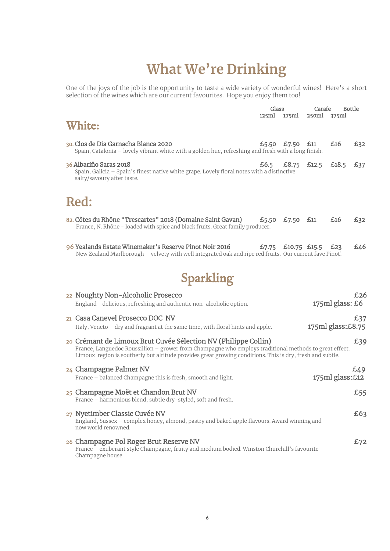# **What We're Drinking**

One of the joys of the job is the opportunity to taste a wide variety of wonderful wines! Here's a short selection of the wines which are our current favourites. Hope you enjoy them too!

| Glass                                                                                                                                                                                                                                                                                        |       |                 | Carafe | <b>Bottle</b>      |     |
|----------------------------------------------------------------------------------------------------------------------------------------------------------------------------------------------------------------------------------------------------------------------------------------------|-------|-----------------|--------|--------------------|-----|
|                                                                                                                                                                                                                                                                                              | 125ml | 175ml           | 250ml  | 375ml              |     |
| White:                                                                                                                                                                                                                                                                                       |       |                 |        |                    |     |
| 30. Clos de Dia Garnacha Blanca 2020<br>Spain, Catalonia - lovely vibrant white with a golden hue, refreshing and fresh with a long finish.                                                                                                                                                  |       | £5.50 £7.50 £11 |        | £16                | £32 |
| 36 Albariňo Saras 2018<br>Spain, Galicia - Spain's finest native white grape. Lovely floral notes with a distinctive<br>salty/savoury after taste.                                                                                                                                           | £6.5  | £8.75           | £12.5  | £18.5              | £37 |
| Red:                                                                                                                                                                                                                                                                                         |       |                 |        |                    |     |
| 82. Côtes du Rhône "Trescartes" 2018 (Domaine Saint Gavan)<br>France, N. Rhône - loaded with spice and black fruits. Great family producer.                                                                                                                                                  | £5.50 | £7.50           | £11    | £16                | £32 |
| 96 Yealands Estate Winemaker's Reserve Pinot Noir 2016<br>New Zealand Marlborough - velvety with well integrated oak and ripe red fruits. Our current fave Pinot!                                                                                                                            | £7.75 | $£10.75$ £15.5  |        | £23                | 646 |
| Sparkling                                                                                                                                                                                                                                                                                    |       |                 |        |                    |     |
| 22 Noughty Non-Alcoholic Prosecco<br>England - delicious, refreshing and authentic non-alcoholic option.                                                                                                                                                                                     |       |                 |        | 175ml glass: £6    | £26 |
| 21 Casa Canevel Prosecco DOC NV<br>Italy, Veneto - dry and fragrant at the same time, with floral hints and apple.                                                                                                                                                                           |       |                 |        | 175ml glass: £8.75 | £37 |
| 20 Crémant de Limoux Brut Cuvée Sélection NV (Philippe Collin)<br>£39<br>France, Languedoc Roussillion - grower from Champagne who employs traditional methods to great effect.<br>Limoux region is southerly but altitude provides great growing conditions. This is dry, fresh and subtle. |       |                 |        |                    |     |
| 24 Champagne Palmer NV<br>France - balanced Champagne this is fresh, smooth and light.                                                                                                                                                                                                       |       |                 |        | 175ml glass:£12    | £49 |
| 25 Champagne Moët et Chandon Brut NV<br>France - harmonious blend, subtle dry-styled, soft and fresh.                                                                                                                                                                                        |       |                 |        |                    | £55 |
| 27 Nyetimber Classic Cuvée NV<br>England, Sussex - complex honey, almond, pastry and baked apple flavours. Award winning and<br>now world renowned.                                                                                                                                          |       |                 |        |                    | £63 |
| 26 Champagne Pol Roger Brut Reserve NV<br>France - exuberant style Champagne, fruity and medium bodied. Winston Churchill's favourite<br>Champagne house.                                                                                                                                    |       |                 |        |                    | £72 |
|                                                                                                                                                                                                                                                                                              |       |                 |        |                    |     |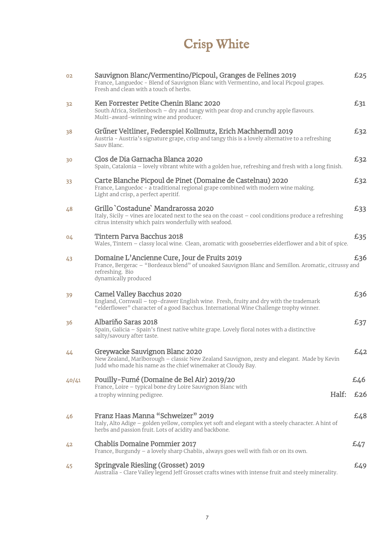# Crisp White

| 02    | Sauvignon Blanc/Vermentino/Picpoul, Granges de Felines 2019<br>France, Languedoc - Blend of Sauvignon Blanc with Vermentino, and local Picpoul grapes.<br>Fresh and clean with a touch of herbs.             | £25 |
|-------|--------------------------------------------------------------------------------------------------------------------------------------------------------------------------------------------------------------|-----|
| 32    | Ken Forrester Petite Chenin Blanc 2020<br>South Africa, Stellenbosch - dry and tangy with pear drop and crunchy apple flavours.<br>Multi-award-winning wine and producer.                                    | £31 |
| 38    | Grűner Veltliner, Federspiel Kollmutz, Erich Machherndl 2019<br>Austria - Austria's signature grape, crisp and tangy this is a lovely alternative to a refreshing<br>Sauv Blanc.                             | £32 |
| 30    | Clos de Dia Garnacha Blanca 2020<br>Spain, Catalonia - lovely vibrant white with a golden hue, refreshing and fresh with a long finish.                                                                      | £32 |
| 33    | Carte Blanche Picpoul de Pinet (Domaine de Castelnau) 2020<br>France, Languedoc - a traditional regional grape combined with modern wine making.<br>Light and crisp, a perfect aperitif.                     | £32 |
| 48    | Grillo `Costadune` Mandrarossa 2020<br>Italy, Sicily - vines are located next to the sea on the coast - cool conditions produce a refreshing<br>citrus intensity which pairs wonderfully with seafood.       | £33 |
| 04    | Tintern Parva Bacchus 2018<br>Wales, Tintern - classy local wine. Clean, aromatic with gooseberries elderflower and a bit of spice.                                                                          | £35 |
| 43    | Domaine L'Ancienne Cure, Jour de Fruits 2019<br>France, Bergerac - "Bordeaux blend" of unoaked Sauvignon Blanc and Semillon. Aromatic, citrussy and<br>refreshing. Bio<br>dynamically produced               | £36 |
| 39    | Camel Valley Bacchus 2020<br>England, Cornwall - top-drawer English wine. Fresh, fruity and dry with the trademark<br>"elderflower" character of a good Bacchus. International Wine Challenge trophy winner. | £36 |
| 36    | Albariňo Saras 2018<br>Spain, Galicia - Spain's finest native white grape. Lovely floral notes with a distinctive<br>salty/savoury after taste.                                                              | £37 |
| 44    | Greywacke Sauvignon Blanc 2020<br>New Zealand, Marlborough - classic New Zealand Sauvignon, zesty and elegant. Made by Kevin<br>Judd who made his name as the chief winemaker at Cloudy Bay.                 | f42 |
| 40/41 | Pouilly-Fumé (Domaine de Bel Air) 2019/20<br>France, Loire - typical bone dry Loire Sauvignon Blanc with                                                                                                     | £46 |
|       | Half:<br>a trophy winning pedigree.                                                                                                                                                                          | £26 |
| 46    | Franz Haas Manna "Schweizer" 2019<br>Italy, Alto Adige - golden yellow, complex yet soft and elegant with a steely character. A hint of<br>herbs and passion fruit. Lots of acidity and backbone.            | £48 |
| 42    | <b>Chablis Domaine Pommier 2017</b><br>France, Burgundy - a lovely sharp Chablis, always goes well with fish or on its own.                                                                                  | £47 |
| 45    | Springvale Riesling (Grosset) 2019<br>Australia - Clare Valley legend Jeff Grosset crafts wines with intense fruit and steely minerality.                                                                    | £49 |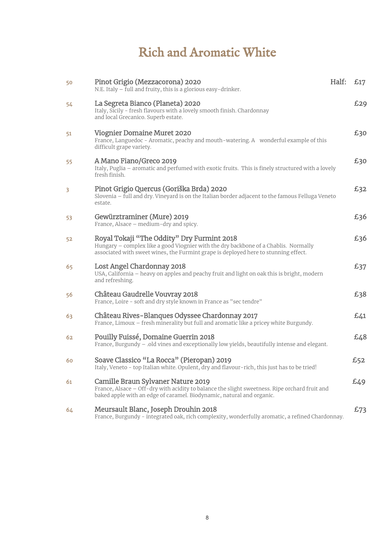# Rich and Aromatic White

| 50 | Pinot Grigio (Mezzacorona) 2020<br>N.E. Italy $-$ full and fruity, this is a glorious easy-drinker.                                                                                                                      | Half: | £17 |
|----|--------------------------------------------------------------------------------------------------------------------------------------------------------------------------------------------------------------------------|-------|-----|
| 54 | La Segreta Bianco (Planeta) 2020<br>Italy, Sicily - fresh flavours with a lovely smooth finish. Chardonnay<br>and local Grecanico. Superb estate.                                                                        |       | £29 |
| 51 | <b>Viognier Domaine Muret 2020</b><br>France, Languedoc - Aromatic, peachy and mouth-watering. A wonderful example of this<br>difficult grape variety.                                                                   |       | £30 |
| 55 | A Mano Fiano/Greco 2019<br>Italy, Puglia - aromatic and perfumed with exotic fruits. This is finely structured with a lovely<br>fresh finish.                                                                            |       | £30 |
| 3  | Pinot Grigio Quercus (Goriška Brda) 2020<br>Slovenia - full and dry. Vineyard is on the Italian border adjacent to the famous Felluga Veneto<br>estate.                                                                  |       | £32 |
| 53 | Gewürztraminer (Mure) 2019<br>France, Alsace - medium-dry and spicy.                                                                                                                                                     |       | £36 |
| 52 | Royal Tokaji "The Oddity" Dry Furmint 2018<br>Hungary - complex like a good Viognier with the dry backbone of a Chablis. Normally<br>associated with sweet wines, the Furmint grape is deployed here to stunning effect. |       | £36 |
| 65 | Lost Angel Chardonnay 2018<br>USA, California - heavy on apples and peachy fruit and light on oak this is bright, modern<br>and refreshing.                                                                              |       | £37 |
| 56 | Château Gaudrelle Vouvray 2018<br>France, Loire - soft and dry style known in France as "sec tendre"                                                                                                                     |       | £38 |
| 63 | Château Rives-Blanques Odyssee Chardonnay 2017<br>France, Limoux - fresh minerality but full and aromatic like a pricey white Burgundy.                                                                                  |       | £41 |
| 62 | Pouilly Fuissé, Domaine Guerrin 2018<br>France, Burgundy - .old vines and exceptionally low yields, beautifully intense and elegant.                                                                                     |       | £48 |
| 60 | Soave Classico "La Rocca" (Pieropan) 2019<br>Italy, Veneto - top Italian white. Opulent, dry and flavour-rich, this just has to be tried!                                                                                |       | £52 |
| 61 | Camille Braun Sylvaner Nature 2019<br>France, Alsace - Off-dry with acidity to balance the slight sweetness. Ripe orchard fruit and<br>baked apple with an edge of caramel. Biodynamic, natural and organic.             |       | £49 |
| 64 | Meursault Blanc, Joseph Drouhin 2018<br>France, Burgundy - integrated oak, rich complexity, wonderfully aromatic, a refined Chardonnay.                                                                                  |       | £73 |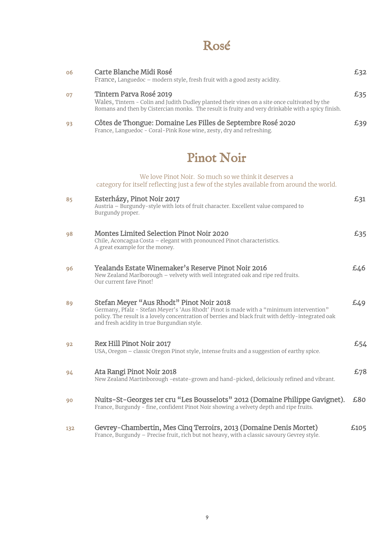### Rosé

| 06 | Carte Blanche Midi Rosé<br>France, Languedoc - modern style, fresh fruit with a good zesty acidity.                                                                                                                                                                                      | £32 |
|----|------------------------------------------------------------------------------------------------------------------------------------------------------------------------------------------------------------------------------------------------------------------------------------------|-----|
| 07 | Tintern Parva Rosé 2019<br>Wales, Tintern - Colin and Judith Dudley planted their vines on a site once cultivated by the<br>Romans and then by Cistercian monks. The result is fruity and very drinkable with a spicy finish.                                                            | £35 |
| 93 | Côtes de Thongue: Domaine Les Filles de Septembre Rosé 2020<br>France, Languedoc - Coral-Pink Rose wine, zesty, dry and refreshing.                                                                                                                                                      | £39 |
|    | <b>Pinot Noir</b>                                                                                                                                                                                                                                                                        |     |
|    | We love Pinot Noir. So much so we think it deserves a<br>category for itself reflecting just a few of the styles available from around the world.                                                                                                                                        |     |
| 85 | Esterházy, Pinot Noir 2017<br>Austria - Burgundy-style with lots of fruit character. Excellent value compared to<br>Burgundy proper.                                                                                                                                                     | £31 |
| 98 | Montes Limited Selection Pinot Noir 2020<br>Chile, Aconcagua Costa - elegant with pronounced Pinot characteristics.<br>A great example for the money.                                                                                                                                    | £35 |
| 96 | Yealands Estate Winemaker's Reserve Pinot Noir 2016<br>New Zealand Marlborough - velvety with well integrated oak and ripe red fruits.<br>Our current fave Pinot!                                                                                                                        | £46 |
| 89 | Stefan Meyer "Aus Rhodt" Pinot Noir 2018<br>Germany, Pfalz - Stefan Meyer's 'Aus Rhodt' Pinot is made with a "minimum intervention"<br>policy. The result is a lovely concentration of berries and black fruit with deftly-integrated oak<br>and fresh acidity in true Burgundian style. | £49 |
| 92 | Rex Hill Pinot Noir 2017<br>USA, Oregon - classic Oregon Pinot style, intense fruits and a suggestion of earthy spice.                                                                                                                                                                   | £54 |
| 94 | Ata Rangi Pinot Noir 2018<br>New Zealand Martinborough -estate-grown and hand-picked, deliciously refined and vibrant.                                                                                                                                                                   | £78 |
| 90 | Nuits-St-Georges 1er cru "Les Bousselots" 2012 (Domaine Philippe Gavignet).<br>France, Burgundy - fine, confident Pinot Noir showing a velvety depth and ripe fruits.                                                                                                                    | £80 |

132 Gevrey-Chambertin, Mes Cinq Terroirs, 2013 (Domaine Denis Mortet) £105 France, Burgundy – Precise fruit, rich but not heavy, with a classic savoury Gevrey style.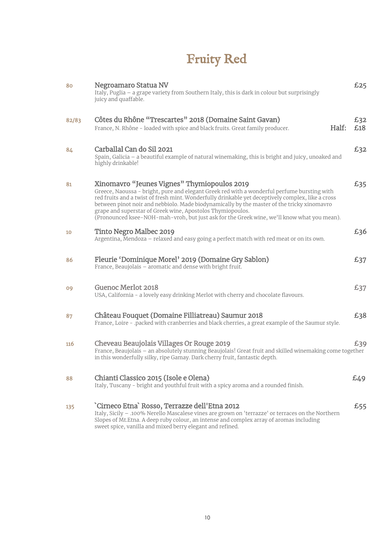# Fruity Red

| 80    | Negroamaro Statua NV<br>Italy, Puglia - a grape variety from Southern Italy, this is dark in colour but surprisingly<br>juicy and quaffable.                                                                                                                                                                                                                                                                                                                                                              | £25        |
|-------|-----------------------------------------------------------------------------------------------------------------------------------------------------------------------------------------------------------------------------------------------------------------------------------------------------------------------------------------------------------------------------------------------------------------------------------------------------------------------------------------------------------|------------|
| 82/83 | Côtes du Rhône "Trescartes" 2018 (Domaine Saint Gavan)<br>Half:<br>France, N. Rhône - loaded with spice and black fruits. Great family producer.                                                                                                                                                                                                                                                                                                                                                          | £32<br>£18 |
| 84    | Carballal Can do Sil 2021<br>Spain, Galicia - a beautiful example of natural winemaking, this is bright and juicy, unoaked and<br>highly drinkable!                                                                                                                                                                                                                                                                                                                                                       | £32        |
| 81    | Xinomavro "Jeunes Vignes" Thymiopoulos 2019<br>Greece, Naoussa - bright, pure and elegant Greek red with a wonderful perfume bursting with<br>red fruits and a twist of fresh mint. Wonderfully drinkable yet deceptively complex, like a cross<br>between pinot noir and nebbiolo. Made biodynamically by the master of the tricky xinomavro<br>grape and superstar of Greek wine, Apostolos Thymiopoulos.<br>(Pronounced ksee-NOH-mah-vroh, but just ask for the Greek wine, we'll know what you mean). | £35        |
| 10    | Tinto Negro Malbec 2019<br>Argentina, Mendoza - relaxed and easy going a perfect match with red meat or on its own.                                                                                                                                                                                                                                                                                                                                                                                       | £36        |
| 86    | Fleurie 'Dominique Morel' 2019 (Domaine Gry Sablon)<br>France, Beaujolais – aromatic and dense with bright fruit.                                                                                                                                                                                                                                                                                                                                                                                         | £37        |
| 09    | Guenoc Merlot 2018<br>USA, California - a lovely easy drinking Merlot with cherry and chocolate flavours.                                                                                                                                                                                                                                                                                                                                                                                                 | £37        |
| 87    | Château Fouquet (Domaine Filliatreau) Saumur 2018<br>France, Loire - .packed with cranberries and black cherries, a great example of the Saumur style.                                                                                                                                                                                                                                                                                                                                                    | £38        |
| 116   | Cheveau Beaujolais Villages Or Rouge 2019<br>France, Beaujolais - an absolutely stunning Beaujolais! Great fruit and skilled winemaking come together<br>in this wonderfully silky, ripe Gamay. Dark cherry fruit, fantastic depth.                                                                                                                                                                                                                                                                       | £39        |
| 88    | Chianti Classico 2015 (Isole e Olena)<br>Italy, Tuscany - bright and youthful fruit with a spicy aroma and a rounded finish.                                                                                                                                                                                                                                                                                                                                                                              | £49        |
| 135   | 'Cirneco Etna' Rosso, Terrazze dell'Etna 2012<br>Italy, Sicily - .100% Nerello Mascalese vines are grown on 'terrazze' or terraces on the Northern<br>Slopes of Mt.Etna. A deep ruby colour, an intense and complex array of aromas including<br>sweet spice, vanilla and mixed berry elegant and refined.                                                                                                                                                                                                | £55        |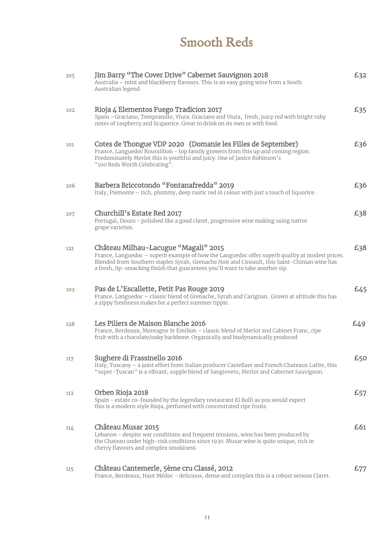## Smooth Reds

| 105 | Jim Barry "The Cover Drive" Cabernet Sauvignon 2018<br>Australia – mint and blackberry flavours. This is an easy going wine from a South<br>Australian legend.                                                                                                                                                          | £32 |
|-----|-------------------------------------------------------------------------------------------------------------------------------------------------------------------------------------------------------------------------------------------------------------------------------------------------------------------------|-----|
| 102 | Rioja 4 Elementos Fuego Tradicion 2017<br>Spain - Graciano, Tempranillo, Viura. Graciano and Viura, fresh, juicy red with bright ruby<br>notes of raspberry and licquorice. Great to drink on its own or with food.                                                                                                     | £35 |
| 101 | Cotes de Thongue VDP 2020 (Domanie les Filles de September)<br>France, Languedoc Roussillion - top family growers from this up and coming region.<br>Predominately Merlot this is youthful and juicy. One of Janice Robinson's<br>"100 Reds Worth Celebrating".                                                         | £36 |
| 106 | Barbera Briccotondo "Fontanafredda" 2019<br>Italy, Piemonte - rich, plummy, deep rustic red in colour with just a touch of liquorice.                                                                                                                                                                                   | £36 |
| 107 | Churchill's Estate Red 2017<br>Portugal, Douro - polished like a good claret, progressive wine making using native<br>grape varieties.                                                                                                                                                                                  | £38 |
| 121 | Château Milhau-Lacugue "Magali" 2015<br>France, Languedoc - superb example of how the Languedoc offer superb quality at modest prices.<br>Blended from Southern staples Syrah, Grenache Noir and Cinsault, this Saint-Chinian wine has<br>a fresh, lip-smacking finish that guarantees you'll want to take another sip. | £38 |
| 103 | Pas de L'Escallette, Petit Pas Rouge 2019<br>France, Languedoc - classic blend of Grenache, Syrah and Carignan. Grown at altitude this has<br>a zippy freshness makes for a perfect summer tipple.                                                                                                                      | £45 |
| 128 | Les Piliers de Maison Blanche 2016<br>France, Bordeaux, Montagne St Emilion - classic blend of Merlot and Cabinet Franc, ripe<br>fruit with a chocolate/oaky backbone. Organically and biodynamically produced                                                                                                          | £49 |
| 117 | Sughere di Frassinello 2016<br>Italy, Tuscany - a joint effort from Italian producer Castellare and French Chateaux Lafite, this<br>"super-Tuscan" is a vibrant, supple blend of Sangioveto, Merlot and Cabernet Sauvignon.                                                                                             | £50 |
| 112 | Orben Rioja 2018<br>Spain - estate co-founded by the legendary restaurant El Bulli as you would expect<br>this is a modern style Rioja, perfumed with concentrated ripe fruits.                                                                                                                                         | £57 |
| 114 | Château Musar 2015<br>Lebanon - despite war conditions and frequent tensions, wine has been produced by<br>the Chateau under high-risk conditions since 1930. Musar wine is quite unique, rich in<br>cherry flavours and complex smokiness.                                                                             | £61 |
| 115 | Château Cantemerle, 5ème cru Classé, 2012<br>France, Bordeaux, Haut Médoc - delicious, dense and complex this is a robust serious Claret.                                                                                                                                                                               | £77 |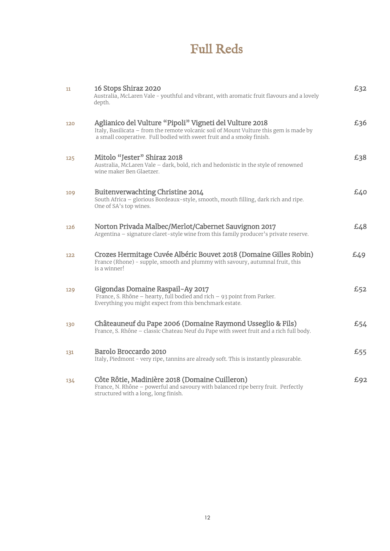### Full Reds

| 11  | 16 Stops Shiraz 2020<br>Australia, McLaren Vale - youthful and vibrant, with aromatic fruit flavours and a lovely<br>depth.                                                                                                | £32 |
|-----|----------------------------------------------------------------------------------------------------------------------------------------------------------------------------------------------------------------------------|-----|
| 120 | Aglianico del Vulture "Pipoli" Vigneti del Vulture 2018<br>Italy, Basilicata – from the remote volcanic soil of Mount Vulture this gem is made by<br>a small cooperative. Full bodied with sweet fruit and a smoky finish. | £36 |
| 125 | Mitolo "Jester" Shiraz 2018<br>Australia, McLaren Vale - dark, bold, rich and hedonistic in the style of renowned<br>wine maker Ben Glaetzer.                                                                              | £38 |
| 109 | Buitenverwachting Christine 2014<br>South Africa - glorious Bordeaux-style, smooth, mouth filling, dark rich and ripe.<br>One of SA's top wines.                                                                           | 640 |
| 126 | Norton Privada Malbec/Merlot/Cabernet Sauvignon 2017<br>Argentina - signature claret-style wine from this family producer's private reserve.                                                                               | 643 |
| 122 | Crozes Hermitage Cuvée Albéric Bouvet 2018 (Domaine Gilles Robin)<br>France (Rhone) - supple, smooth and plummy with savoury, autumnal fruit, this<br>is a winner!                                                         | £49 |
| 129 | Gigondas Domaine Raspail-Ay 2017<br>France, S. Rhône - hearty, full bodied and rich - 93 point from Parker.<br>Everything you might expect from this benchmark estate.                                                     | £52 |
| 130 | Châteauneuf du Pape 2006 (Domaine Raymond Usseglio & Fils)<br>France, S. Rhône - classic Chateau Neuf du Pape with sweet fruit and a rich full body.                                                                       | £54 |
| 131 | Barolo Broccardo 2010<br>Italy, Piedmont - very ripe, tannins are already soft. This is instantly pleasurable.                                                                                                             | £55 |
| 134 | Côte Rôtie, Madinière 2018 (Domaine Cuilleron)<br>France, N. Rhône - powerful and savoury with balanced ripe berry fruit. Perfectly<br>structured with a long, long finish.                                                | £92 |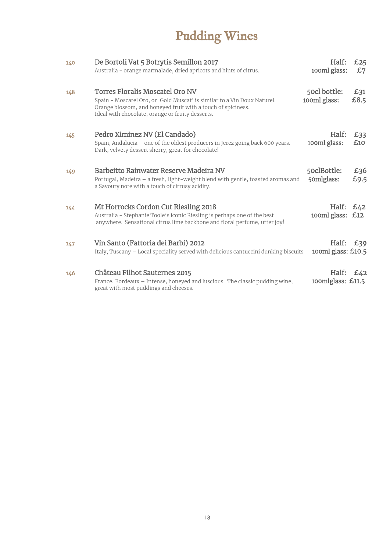# Pudding Wines

| 140 | De Bortoli Vat 5 Botrytis Semillon 2017<br>Australia - orange marmalade, dried apricots and hints of citrus.                                                                                                                           | Half:<br>100ml glass:         | £25<br>£7   |
|-----|----------------------------------------------------------------------------------------------------------------------------------------------------------------------------------------------------------------------------------------|-------------------------------|-------------|
| 148 | <b>Torres Floralis Moscatel Oro NV</b><br>Spain - Moscatel Oro, or 'Gold Muscat' is similar to a Vin Doux Naturel.<br>Orange blossom, and honeyed fruit with a touch of spiciness.<br>Ideal with chocolate, orange or fruity desserts. | 50cl bottle:<br>100ml glass:  | £31<br>£8.5 |
| 145 | Pedro Ximinez NV (El Candado)<br>Spain, Andalucia - one of the oldest producers in Jerez going back 600 years.<br>Dark, velvety dessert sherry, great for chocolate!                                                                   | Half:<br>100ml glass:         | £33<br>£10  |
| 149 | Barbeitto Rainwater Reserve Madeira NV<br>Portugal, Madeira – a fresh, light-weight blend with gentle, toasted aromas and<br>a Savoury note with a touch of citrusy acidity.                                                           | 50clBottle:<br>50mlglass:     | £36<br>£9.5 |
| 144 | Mt Horrocks Cordon Cut Riesling 2018<br>Australia - Stephanie Toole's iconic Riesling is perhaps one of the best<br>anywhere. Sensational citrus lime backbone and floral perfume, utter joy!                                          | Half:<br>100ml glass:         | £42<br>£12  |
| 147 | Vin Santo (Fattoria dei Barbi) 2012<br>Italy, Tuscany – Local speciality served with delicious cantuccini dunking biscuits                                                                                                             | Half:<br>100ml glass: $£10.5$ | £39         |
| 146 | Château Filhot Sauternes 2015<br>France, Bordeaux – Intense, honeyed and luscious. The classic pudding wine,<br>great with most puddings and cheeses.                                                                                  | Half:<br>100mlglass: $£11.5$  | £42         |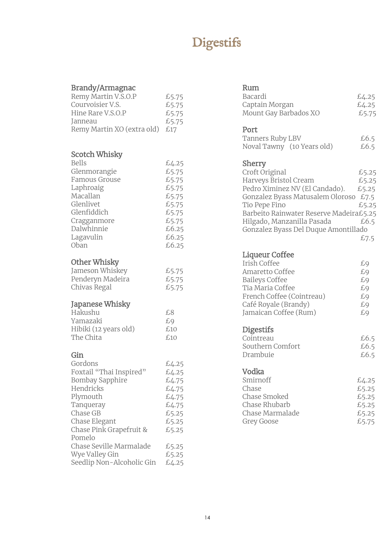# **Digestifs**

### Brandy/Armagnac

| www.armality.com<br>Remy Martin V.S.O.P<br>Courvoisier V.S.<br>Hine Rare V.S.O.P<br>Janneau<br>Remy Martin XO (extra old)                                                                                                                      | £5.75<br>£5.75<br>£5.75<br>£5.75<br>£17                                                                  |
|------------------------------------------------------------------------------------------------------------------------------------------------------------------------------------------------------------------------------------------------|----------------------------------------------------------------------------------------------------------|
| Scotch Whisky<br><b>Bells</b><br>Glenmorangie<br><b>Famous Grouse</b><br>Laphroaig<br>Macallan<br>Glenlivet<br>Glenfiddich<br>Cragganmore<br>Dalwhinnie<br>Lagavulin<br>Oban                                                                   | £4.25<br>£5.75<br>£5.75<br>£5.75<br>£5.75<br>£5.75<br>£5.75<br>£5.75<br>£6.25<br>£6.25<br>£6.25          |
| Other Whisky<br>Jameson Whiskey<br>Penderyn Madeira<br>Chivas Regal                                                                                                                                                                            | £5.75<br>£5.75<br>£5.75                                                                                  |
| Japanese Whisky<br>Hakushu<br>Yamazaki<br>Hibiki (12 years old)<br>The Chita                                                                                                                                                                   | £8<br>£9<br>£10<br>£10                                                                                   |
| Gin<br>Gordons<br>Foxtail "Thai Inspired"<br>Bombay Sapphire<br>Hendricks<br>Plymouth<br>Tanqueray<br>Chase GB<br>Chase Elegant<br>Chase Pink Grapefruit &<br>Pomelo<br>Chase Seville Marmalade<br>Wye Valley Gin<br>Seedlip Non-Alcoholic Gin | £4.25<br>£4.25<br>£4.75<br>£4.75<br>£4.75<br>£4.75<br>£5.25<br>£5.25<br>£5.25<br>£5.25<br>£5.25<br>£4.25 |

### Rum

| rum<br>Bacardi<br>Captain Morgan<br>Mount Gay Barbados XO                                                                                                                                                                                                 | £4.25<br>£4.25<br>£5.75                                  |
|-----------------------------------------------------------------------------------------------------------------------------------------------------------------------------------------------------------------------------------------------------------|----------------------------------------------------------|
| Port<br>Tanners Ruby LBV<br>Noval Tawny (10 Years old)                                                                                                                                                                                                    | £6.5<br>£6.5                                             |
| Sherry<br>Croft Original<br>Harveys Bristol Cream<br>Pedro Ximinez NV (El Candado).<br>Gonzalez Byass Matusalem Oloroso<br>Tio Pepe Fino<br>Barbeito Rainwater Reserve Madeira£5.25<br>Hilgado, Manzanilla Pasada<br>Gonzalez Byass Del Duque Amontillado | £5.25<br>£5.25<br>£5.25<br>£7.5<br>£5.25<br>£6.5<br>£7.5 |
| Liqueur Coffee<br>Irish Coffee<br>Amaretto Coffee<br><b>Baileys Coffee</b><br>Tia Maria Coffee<br>French Coffee (Cointreau)<br>Café Royale (Brandy)<br>Jamaican Coffee (Rum)                                                                              | £9<br>£9<br>£9<br>£9<br>£9<br>£9<br>£9                   |
| <b>Digestifs</b><br>Cointreau<br>Southern Comfort<br>Drambuie                                                                                                                                                                                             | £6.5<br>£6.5<br>£6.5                                     |
| Vodka<br>Smirnoff<br>Chase<br>Chase Smoked<br>Chase Rhubarb<br>Chase Marmalade<br>Grey Goose                                                                                                                                                              | £4.25<br>£5.25<br>£5.25<br>£5.25<br>£5.25<br>£5.75       |